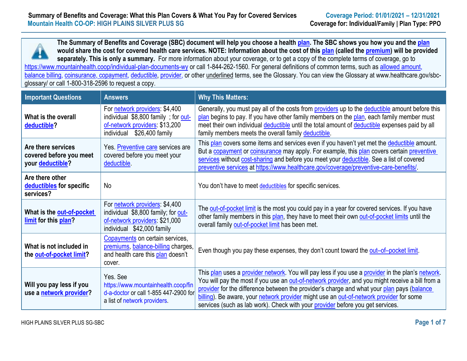**The Summary of Benefits and Coverage (SBC) document will help you choose a health [plan.](https://www.healthcare.gov/sbc-glossary/#plan) The SBC shows you how you and the [plan](https://www.healthcare.gov/sbc-glossary/#plan) would share the cost for covered health care services. NOTE: Information about the cost of this [plan](https://www.healthcare.gov/sbc-glossary/#plan) (called the [premium\)](https://www.healthcare.gov/sbc-glossary/#premium) will be provided separately. This is only a summary.** For more information about your coverage, or to get a copy of the complete terms of coverage, go to <https://www.mountainhealth.coop/individual-plan-documents-wy> or call 1-844-262-1560. For general definitions of common terms, such as allowed amount, balance billing, coinsurance, copayment, deductible, provider, or other underlined terms, see the Glossary. You can view the Glossary at www.healthcare.gov/sbcglossary/ or call 1-800-318-2596 to request a copy.

| <b>Important Questions</b>                                        | <b>Answers</b>                                                                                                                           | <b>Why This Matters:</b>                                                                                                                                                                                                                                                                                                                                                                                                                                                         |
|-------------------------------------------------------------------|------------------------------------------------------------------------------------------------------------------------------------------|----------------------------------------------------------------------------------------------------------------------------------------------------------------------------------------------------------------------------------------------------------------------------------------------------------------------------------------------------------------------------------------------------------------------------------------------------------------------------------|
| What is the overall<br>deductible?                                | For network providers: \$4,400<br>individual \$8,800 family; for out-<br>of-network providers: \$13,200<br>\$26,400 family<br>individual | Generally, you must pay all of the costs from providers up to the deductible amount before this<br>plan begins to pay. If you have other family members on the plan, each family member must<br>meet their own individual deductible until the total amount of deductible expenses paid by all<br>family members meets the overall family deductible.                                                                                                                            |
| Are there services<br>covered before you meet<br>your deductible? | Yes. Preventive care services are<br>covered before you meet your<br>deductible.                                                         | This plan covers some items and services even if you haven't yet met the deductible amount.<br>But a copayment or coinsurance may apply. For example, this plan covers certain preventive<br>services without cost-sharing and before you meet your deductible. See a list of covered<br>preventive services at https://www.healthcare.gov/coverage/preventive-care-benefits/                                                                                                    |
| Are there other<br>deductibles for specific<br>services?          | <b>No</b>                                                                                                                                | You don't have to meet deductibles for specific services.                                                                                                                                                                                                                                                                                                                                                                                                                        |
| What is the out-of-pocket<br>limit for this plan?                 | For network providers: \$4,400<br>individual \$8,800 family; for out-<br>of-network providers: \$21,000<br>individual \$42,000 family    | The out-of-pocket limit is the most you could pay in a year for covered services. If you have<br>other family members in this plan, they have to meet their own out-of-pocket limits until the<br>overall family out-of-pocket limit has been met.                                                                                                                                                                                                                               |
| What is not included in<br>the out-of-pocket limit?               | Copayments on certain services,<br>premiums, balance-billing charges,<br>and health care this plan doesn't<br>cover.                     | Even though you pay these expenses, they don't count toward the out-of-pocket limit.                                                                                                                                                                                                                                                                                                                                                                                             |
| Will you pay less if you<br>use a network provider?               | Yes, See<br>https://www.mountainhealth.coop/fin<br>d-a-doctor or call 1-855 447-2900 for<br>a list of network providers.                 | This plan uses a provider network. You will pay less if you use a provider in the plan's network.<br>You will pay the most if you use an out-of-network provider, and you might receive a bill from a<br>provider for the difference between the provider's charge and what your plan pays (balance<br>billing). Be aware, your network provider might use an out-of-network provider for some<br>services (such as lab work). Check with your provider before you get services. |

HIGH PLAINS SILVER PLUS SG-SBC **Page 1 of 7**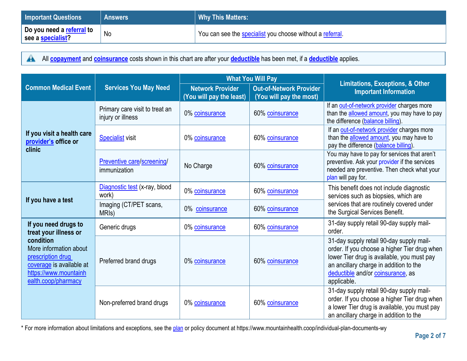| <b>Important Questions</b>                            | <b>Answers</b> | <b>Why This Matters:</b>                                  |
|-------------------------------------------------------|----------------|-----------------------------------------------------------|
| Do you need a <u>referral</u> to<br>see a specialist? | No             | You can see the specialist you choose without a referral. |

All **[copayment](https://www.healthcare.gov/sbc-glossary/#copayment)** and **[coinsurance](https://www.healthcare.gov/sbc-glossary/#coinsurance)** costs shown in this chart are after your **[deductible](https://www.healthcare.gov/sbc-glossary/#deductible)** has been met, if a **[deductible](https://www.healthcare.gov/sbc-glossary/#deductible)** applies.  $\blacktriangle$ 

|                                                                                                                                      | <b>Services You May Need</b>                        | <b>What You Will Pay</b>                            |                                                           | <b>Limitations, Exceptions, &amp; Other</b>                                                                                                                                                                                          |  |
|--------------------------------------------------------------------------------------------------------------------------------------|-----------------------------------------------------|-----------------------------------------------------|-----------------------------------------------------------|--------------------------------------------------------------------------------------------------------------------------------------------------------------------------------------------------------------------------------------|--|
| <b>Common Medical Event</b>                                                                                                          |                                                     | <b>Network Provider</b><br>(You will pay the least) | <b>Out-of-Network Provider</b><br>(You will pay the most) | <b>Important Information</b>                                                                                                                                                                                                         |  |
|                                                                                                                                      | Primary care visit to treat an<br>injury or illness | 0% coinsurance                                      | 60% coinsurance                                           | If an out-of-network provider charges more<br>than the allowed amount, you may have to pay<br>the difference (balance billing).                                                                                                      |  |
| If you visit a health care<br>provider's office or<br>clinic                                                                         | <b>Specialist</b> visit                             | 0% coinsurance                                      | 60% coinsurance                                           | If an out-of-network provider charges more<br>than the allowed amount, you may have to<br>pay the difference (balance billing).                                                                                                      |  |
|                                                                                                                                      | Preventive care/screening/<br>immunization          | No Charge                                           | 60% coinsurance                                           | You may have to pay for services that aren't<br>preventive. Ask your provider if the services<br>needed are preventive. Then check what your<br>plan will pay for.                                                                   |  |
| If you have a test                                                                                                                   | Diagnostic test (x-ray, blood<br>work)              | 0% coinsurance                                      | 60% coinsurance                                           | This benefit does not include diagnostic<br>services such as biopsies, which are                                                                                                                                                     |  |
|                                                                                                                                      | Imaging (CT/PET scans,<br>MRI <sub>s</sub> )        | 0% coinsurance                                      | 60% coinsurance                                           | services that are routinely covered under<br>the Surgical Services Benefit.                                                                                                                                                          |  |
| If you need drugs to<br>treat your illness or                                                                                        | Generic drugs                                       | 0% coinsurance                                      | 60% coinsurance                                           | 31-day supply retail 90-day supply mail-<br>order.                                                                                                                                                                                   |  |
| condition<br>More information about<br>prescription drug<br>coverage is available at<br>https://www.mountainh<br>ealth.coop/pharmacy | Preferred brand drugs                               | 0% coinsurance                                      | 60% coinsurance                                           | 31-day supply retail 90-day supply mail-<br>order. If you choose a higher Tier drug when<br>lower Tier drug is available, you must pay<br>an ancillary charge in addition to the<br>deductible and/or coinsurance, as<br>applicable. |  |
|                                                                                                                                      | Non-preferred brand drugs                           | 0% coinsurance                                      | 60% coinsurance                                           | 31-day supply retail 90-day supply mail-<br>order. If you choose a higher Tier drug when<br>a lower Tier drug is available, you must pay<br>an ancillary charge in addition to the                                                   |  |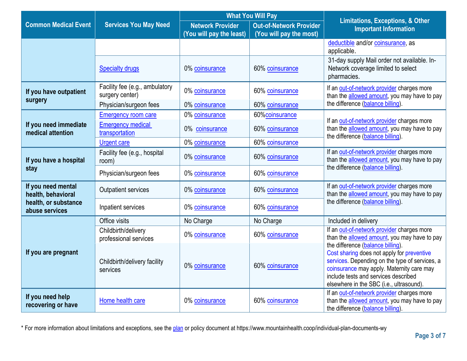|                                            |                                                   | <b>What You Will Pay</b>                            |                                                           | <b>Limitations, Exceptions, &amp; Other</b>                                                                                                                                                                                                                        |  |
|--------------------------------------------|---------------------------------------------------|-----------------------------------------------------|-----------------------------------------------------------|--------------------------------------------------------------------------------------------------------------------------------------------------------------------------------------------------------------------------------------------------------------------|--|
| <b>Common Medical Event</b>                | <b>Services You May Need</b>                      | <b>Network Provider</b><br>(You will pay the least) | <b>Out-of-Network Provider</b><br>(You will pay the most) | <b>Important Information</b>                                                                                                                                                                                                                                       |  |
|                                            |                                                   |                                                     |                                                           | deductible and/or coinsurance, as<br>applicable.                                                                                                                                                                                                                   |  |
|                                            | <b>Specialty drugs</b>                            | 0% coinsurance                                      | 60% coinsurance                                           | 31-day supply Mail order not available. In-<br>Network coverage limited to select<br>pharmacies.                                                                                                                                                                   |  |
| If you have outpatient<br>surgery          | Facility fee (e.g., ambulatory<br>surgery center) | 0% coinsurance                                      | 60% coinsurance                                           | If an out-of-network provider charges more<br>than the allowed amount, you may have to pay                                                                                                                                                                         |  |
|                                            | Physician/surgeon fees                            | 0% coinsurance                                      | 60% coinsurance                                           | the difference (balance billing).                                                                                                                                                                                                                                  |  |
|                                            | <b>Emergency room care</b>                        | 0% coinsurance                                      | 60%coinsurance                                            |                                                                                                                                                                                                                                                                    |  |
| If you need immediate<br>medical attention | <b>Emergency medical</b><br>transportation        | 0% coinsurance                                      | 60% coinsurance                                           | If an out-of-network provider charges more<br>than the allowed amount, you may have to pay<br>the difference (balance billing)                                                                                                                                     |  |
|                                            | <b>Urgent care</b>                                | 0% coinsurance                                      | 60% coinsurance                                           |                                                                                                                                                                                                                                                                    |  |
| If you have a hospital                     | Facility fee (e.g., hospital<br>room)             | 0% coinsurance                                      | 60% coinsurance                                           | If an out-of-network provider charges more<br>than the allowed amount, you may have to pay                                                                                                                                                                         |  |
| stay                                       | Physician/surgeon fees                            | 0% coinsurance                                      | 60% coinsurance                                           | the difference (balance billing).                                                                                                                                                                                                                                  |  |
| If you need mental<br>health, behavioral   | Outpatient services                               | 0% coinsurance                                      | 60% coinsurance                                           | If an out-of-network provider charges more<br>than the allowed amount, you may have to pay                                                                                                                                                                         |  |
| health, or substance<br>abuse services     | Inpatient services                                | 0% coinsurance                                      | 60% coinsurance                                           | the difference (balance billing).                                                                                                                                                                                                                                  |  |
|                                            | Office visits                                     | No Charge                                           | No Charge                                                 | Included in delivery                                                                                                                                                                                                                                               |  |
|                                            | Childbirth/delivery<br>professional services      | 0% coinsurance                                      | 60% coinsurance                                           | If an out-of-network provider charges more<br>than the allowed amount, you may have to pay                                                                                                                                                                         |  |
| If you are pregnant                        | Childbirth/delivery facility<br>services          | 0% coinsurance                                      | 60% coinsurance                                           | the difference (balance billing).<br>Cost sharing does not apply for preventive<br>services. Depending on the type of services, a<br>coinsurance may apply. Maternity care may<br>include tests and services described<br>elsewhere in the SBC (i.e., ultrasound). |  |
| If you need help<br>recovering or have     | Home health care                                  | 0% coinsurance                                      | 60% coinsurance                                           | If an out-of-network provider charges more<br>than the allowed amount, you may have to pay<br>the difference (balance billing).                                                                                                                                    |  |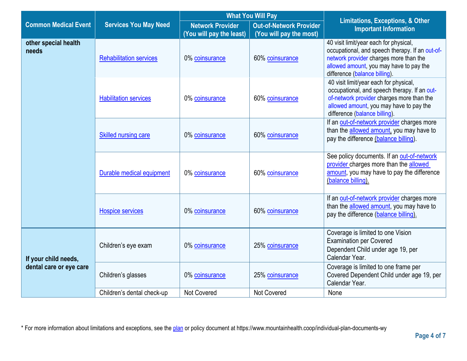|                               |                                      | <b>What You Will Pay</b>                            |                                                                                                     | <b>Limitations, Exceptions, &amp; Other</b>                                                                                                                                                                     |
|-------------------------------|--------------------------------------|-----------------------------------------------------|-----------------------------------------------------------------------------------------------------|-----------------------------------------------------------------------------------------------------------------------------------------------------------------------------------------------------------------|
| <b>Common Medical Event</b>   | <b>Services You May Need</b>         | <b>Network Provider</b><br>(You will pay the least) | <b>Out-of-Network Provider</b><br>(You will pay the most)                                           | <b>Important Information</b>                                                                                                                                                                                    |
| other special health<br>needs | <b>Rehabilitation services</b>       | 0% coinsurance                                      | 60% coinsurance                                                                                     | 40 visit limit/year each for physical,<br>occupational, and speech therapy. If an out-of-<br>network provider charges more than the<br>allowed amount, you may have to pay the<br>difference (balance billing). |
|                               | <b>Habilitation services</b>         | 0% coinsurance                                      | 60% coinsurance                                                                                     | 40 visit limit/year each for physical,<br>occupational, and speech therapy. If an out-<br>of-network provider charges more than the<br>allowed amount, you may have to pay the<br>difference (balance billing). |
|                               | Skilled nursing care                 | 0% coinsurance                                      | 60% coinsurance                                                                                     | If an out-of-network provider charges more<br>than the allowed amount, you may have to<br>pay the difference (balance billing).                                                                                 |
|                               | Durable medical equipment            | 0% coinsurance                                      | 60% coinsurance                                                                                     | See policy documents. If an out-of-network<br>provider charges more than the allowed<br>amount, you may have to pay the difference<br>(balance billing).                                                        |
|                               | <b>Hospice services</b>              | 0% coinsurance                                      | 60% coinsurance                                                                                     | If an out-of-network provider charges more<br>than the allowed amount, you may have to<br>pay the difference (balance billing).                                                                                 |
| If your child needs,          | Children's eye exam                  | 0% coinsurance                                      | 25% coinsurance                                                                                     | Coverage is limited to one Vision<br><b>Examination per Covered</b><br>Dependent Child under age 19, per<br>Calendar Year.                                                                                      |
| dental care or eye care       | Children's glasses<br>0% coinsurance | 25% coinsurance                                     | Coverage is limited to one frame per<br>Covered Dependent Child under age 19, per<br>Calendar Year. |                                                                                                                                                                                                                 |
|                               | Children's dental check-up           | Not Covered                                         | Not Covered                                                                                         | None                                                                                                                                                                                                            |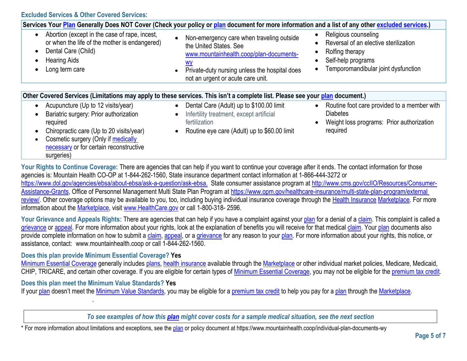|                                                                                                                                                                                                                                      | Services Your Plan Generally Does NOT Cover (Check your policy or plan document for more information and a list of any other excluded services.)                                                                                      |                                                                                                                                               |  |  |
|--------------------------------------------------------------------------------------------------------------------------------------------------------------------------------------------------------------------------------------|---------------------------------------------------------------------------------------------------------------------------------------------------------------------------------------------------------------------------------------|-----------------------------------------------------------------------------------------------------------------------------------------------|--|--|
| Abortion (except in the case of rape, incest,<br>$\bullet$<br>or when the life of the mother is endangered)<br>Dental Care (Child)<br>$\bullet$<br><b>Hearing Aids</b><br>Long term care                                             | Non-emergency care when traveling outside<br>$\bullet$<br>the United States, See<br>www.mountainhealth.coop/plan-documents-<br>$\underline{wy}$<br>Private-duty nursing unless the hospital does<br>not an urgent or acute care unit. | Religious counseling<br>Reversal of an elective sterilization<br>Rolfing therapy<br>Self-help programs<br>Temporomandibular joint dysfunction |  |  |
| Other Covered Services (Limitations may apply to these services. This isn't a complete list. Please see your plan document.)                                                                                                         |                                                                                                                                                                                                                                       |                                                                                                                                               |  |  |
| Acupuncture (Up to 12 visits/year)<br>Bariatric surgery: Prior authorization<br>required<br>Chiropractic care (Up to 20 visits/year)<br>Cosmetic surgery (Only if medically<br>necessary or for certain reconstructive<br>surgeries) | Dental Care (Adult) up to \$100.00 limit<br>$\bullet$<br>Infertility treatment, except artificial<br>$\bullet$<br>fertilization<br>Routine eye care (Adult) up to \$60.00 limit<br>$\bullet$                                          | Routine foot care provided to a member with<br>$\bullet$<br><b>Diabetes</b><br>Weight loss programs: Prior authorization<br>required          |  |  |

ontinue Coverage: There are agencies that can help if you want to continue your coverage after it ends. The contact information for those agencies is: Mountain Health CO-OP at 1-844-262-1560, State insurance department contact information at 1-866-444-3272 or https://www.dol.gov/agencies/ebsa/about-ebsa/ask-a-question/ask-ebsa. State consumer assistance program at [http://www.cms.gov/ccIIO/Resources/Consumer-](http://www.cms.gov/ccIIO/Resources/Consumer-Assistance-Grants)[Assistance-Grants,](http://www.cms.gov/ccIIO/Resources/Consumer-Assistance-Grants) Office of Personnel Management Multi State Plan Program at https://www.opm.gov/healthcare-insurance/multi-state-plan-program/external [review/.](https://www.opm.gov/healthcare-insurance/multi-state-plan-program/external%20review/) Other coverage options may be available to you, too, including buying individual insurance coverage through the [Health Insurance](https://www.healthcare.gov/sbc-glossary/#health-insurance) [Marketplace.](https://www.healthcare.gov/sbc-glossary/#marketplace) For more information about the [Marketplace,](https://www.healthcare.gov/sbc-glossary/#marketplace) visit [www.HealthCare.gov](http://www.healthcare.gov/) or call 1-800-318- 2596.

Your Grievance and Appeals Rights: There are agencies that can help if you have a complaint against your [plan](https://www.healthcare.gov/sbc-glossary/#plan) for a denial of a [claim.](https://www.healthcare.gov/sbc-glossary/#claim) This complaint is called a [grievance](https://www.healthcare.gov/sbc-glossary/#grievance) or [appeal.](https://www.healthcare.gov/sbc-glossary/#appeal) For more information about your rights, look at the explanation of benefits you will receive for that medical [claim.](https://www.healthcare.gov/sbc-glossary/#claim) Your [plan](https://www.healthcare.gov/sbc-glossary/#plan) documents also provide complete information on how to submit a [claim,](https://www.healthcare.gov/sbc-glossary/#claim) [appeal,](https://www.healthcare.gov/sbc-glossary/#appeal) or a [grievance](https://www.healthcare.gov/sbc-glossary/#grievance) for any reason to your [plan.](https://www.healthcare.gov/sbc-glossary/#plan) For more information about your rights, this notice, or assistance, contact: www.mountainhealth.coop or call 1-844-262-1560.

## **Does this plan provide Minimum Essential Coverage? Yes**

[Minimum Essential Coverage](https://www.healthcare.gov/sbc-glossary/#minimum-essential-coverage) generally includes [plans,](https://www.healthcare.gov/sbc-glossary/#plan) [health insurance](https://www.healthcare.gov/sbc-glossary/#health-insurance) available through the [Marketplace](https://www.healthcare.gov/sbc-glossary/#marketplace) or other individual market policies, Medicare, Medicaid, CHIP, TRICARE, and certain other coverage. If you are eligible for certain types of [Minimum Essential Coverage,](https://www.healthcare.gov/sbc-glossary/#minimum-essential-coverage) you may not be eligible for the [premium tax credit.](https://www.healthcare.gov/sbc-glossary/#premium-tax-credits)

## **Does this plan meet the Minimum Value Standards? Yes**

*.*

If your [plan](https://www.healthcare.gov/sbc-glossary/#plan) doesn't meet the [Minimum Value Standards,](https://www.healthcare.gov/sbc-glossary/#minimum-value-standard) you may be eligible for a [premium tax credit](https://www.healthcare.gov/sbc-glossary/#premium-tax-credits) to help you pay for a plan through the [Marketplace.](https://www.healthcare.gov/sbc-glossary/#marketplace)

*To see examples of how this [plan](https://www.healthcare.gov/sbc-glossary/#plan) might cover costs for a sample medical situation, see the next section*